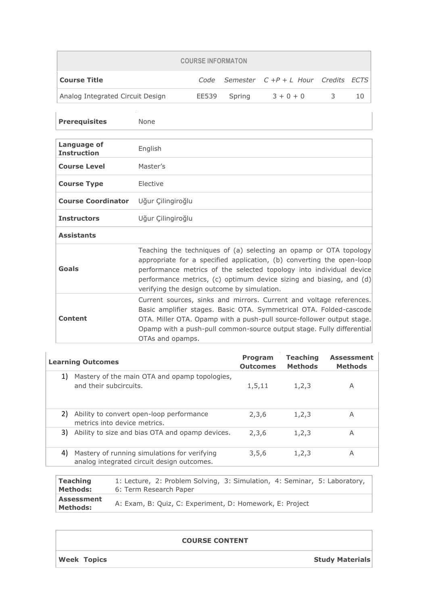| <b>COURSE INFORMATON</b>         |       |        |                                         |    |    |  |
|----------------------------------|-------|--------|-----------------------------------------|----|----|--|
| <b>Course Title</b>              |       |        | Code Semester $C+P+L$ Hour Credits ECTS |    |    |  |
| Analog Integrated Circuit Design | EE539 | Spring | $3 + 0 + 0$                             | -3 | 10 |  |

| <b>Prerequisites</b>                 | None                                                                                                                                                                                                                                                                                                                                      |
|--------------------------------------|-------------------------------------------------------------------------------------------------------------------------------------------------------------------------------------------------------------------------------------------------------------------------------------------------------------------------------------------|
| Language of<br><b>Instruction</b>    | English                                                                                                                                                                                                                                                                                                                                   |
| <b>Course Level</b>                  | Master's                                                                                                                                                                                                                                                                                                                                  |
| <b>Course Type</b>                   | Elective                                                                                                                                                                                                                                                                                                                                  |
| Course Coordinator Uğur Çilingiroğlu |                                                                                                                                                                                                                                                                                                                                           |
| <b>Instructors</b>                   | Uğur Çilingiroğlu                                                                                                                                                                                                                                                                                                                         |
| <b>Assistants</b>                    |                                                                                                                                                                                                                                                                                                                                           |
| Goals                                | Teaching the techniques of (a) selecting an opamp or OTA topology<br>appropriate for a specified application, (b) converting the open-loop<br>performance metrics of the selected topology into individual device<br>performance metrics, (c) optimum device sizing and biasing, and $(d)$<br>verifying the design outcome by simulation. |
| <b>Content</b>                       | Current sources, sinks and mirrors. Current and voltage references.<br>Basic amplifier stages. Basic OTA. Symmetrical OTA. Folded-cascode<br>OTA. Miller OTA. Opamp with a push-pull source-follower output stage.<br>Opamp with a push-pull common-source output stage. Fully differential<br>OTAs and opamps.                           |

|    | <b>Learning Outcomes</b>                                                                   | <b>Program</b><br><b>Outcomes</b> | <b>Teaching</b><br><b>Methods</b> | <b>Assessment</b><br><b>Methods</b> |
|----|--------------------------------------------------------------------------------------------|-----------------------------------|-----------------------------------|-------------------------------------|
| 1) | Mastery of the main OTA and opamp topologies,<br>and their subcircuits.                    | 1,5,11                            | 1,2,3                             | A                                   |
| 2) | Ability to convert open-loop performance<br>metrics into device metrics.                   | 2,3,6                             | 1,2,3                             | A                                   |
| 3) | Ability to size and bias OTA and opamp devices.                                            | 2,3,6                             | 1,2,3                             | Α                                   |
| 4) | Mastery of running simulations for verifying<br>analog integrated circuit design outcomes. | 3,5,6                             | 1,2,3                             | A                                   |
|    |                                                                                            |                                   |                                   |                                     |

| <b>Teaching</b>        | 1: Lecture, 2: Problem Solving, 3: Simulation, 4: Seminar, 5: Laboratory, |
|------------------------|---------------------------------------------------------------------------|
| Methods:               | 6: Term Research Paper                                                    |
| Assessment<br>Methods: | A: Exam, B: Quiz, C: Experiment, D: Homework, E: Project                  |

## **COURSE CONTENT**

**Week Topics Study Materials**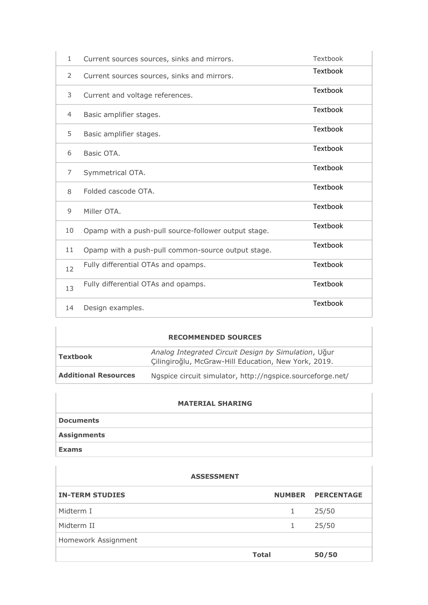| $\mathbf{1}$   | Current sources sources, sinks and mirrors.          | Textbook        |
|----------------|------------------------------------------------------|-----------------|
| 2              | Current sources sources, sinks and mirrors.          | Textbook        |
| 3              | Current and voltage references.                      | Textbook        |
| $\overline{4}$ | Basic amplifier stages.                              | Textbook        |
| 5              | Basic amplifier stages.                              | Textbook        |
| 6              | Basic OTA.                                           | Textbook        |
| 7              | Symmetrical OTA.                                     | <b>Textbook</b> |
| 8              | Folded cascode OTA.                                  | Textbook        |
| 9              | Miller OTA.                                          | Textbook        |
| 10             | Opamp with a push-pull source-follower output stage. | Textbook        |
| 11             | Opamp with a push-pull common-source output stage.   | Textbook        |
| 12             | Fully differential OTAs and opamps.                  | Textbook        |
| 13             | Fully differential OTAs and opamps.                  | Textbook        |
| 14             | Design examples.                                     | Textbook        |

|                             | <b>RECOMMENDED SOURCES</b>                                                                                   |
|-----------------------------|--------------------------------------------------------------------------------------------------------------|
| Textbook                    | Analog Integrated Circuit Design by Simulation, Uğur<br>Cilingiroğlu, McGraw-Hill Education, New York, 2019. |
| <b>Additional Resources</b> | Ngspice circuit simulator, http://ngspice.sourceforge.net/                                                   |

## **MATERIAL SHARING**

| <b>Documents</b> |
|------------------|
| Assignments      |
| <b>Exams</b>     |

| <b>ASSESSMENT</b>      |              |                   |  |  |  |
|------------------------|--------------|-------------------|--|--|--|
| <b>IN-TERM STUDIES</b> |              | NUMBER PERCENTAGE |  |  |  |
| Midterm I              | 1            | 25/50             |  |  |  |
| Midterm II             | 1            | 25/50             |  |  |  |
| Homework Assignment    |              |                   |  |  |  |
|                        | <b>Total</b> | 50/50             |  |  |  |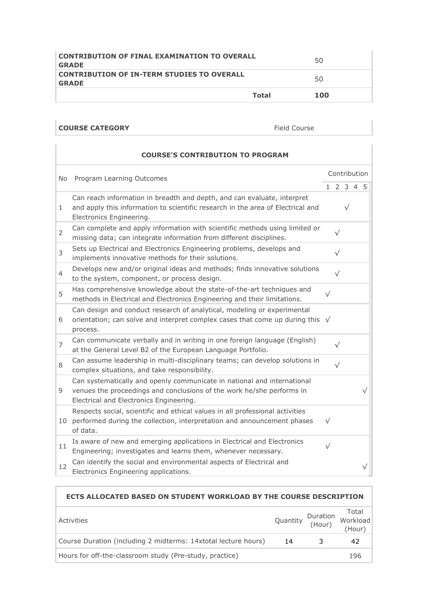| <b>CONTRIBUTION OF IN-TERM STUDIES TO OVERALL</b><br><b>GRADE</b> |              | 50  |
|-------------------------------------------------------------------|--------------|-----|
|                                                                   | <b>Total</b> | 100 |

## **COURSE CATEGORY** Field Course

|                | <b>COURSE'S CONTRIBUTION TO PROGRAM</b>                                                                                                                                                     |              |           |           |           |           |  |
|----------------|---------------------------------------------------------------------------------------------------------------------------------------------------------------------------------------------|--------------|-----------|-----------|-----------|-----------|--|
| No.            | Program Learning Outcomes                                                                                                                                                                   | Contribution |           |           |           |           |  |
|                |                                                                                                                                                                                             |              |           |           | 1 2 3 4 5 |           |  |
| 1              | Can reach information in breadth and depth, and can evaluate, interpret<br>and apply this information to scientific research in the area of Electrical and<br>Electronics Engineering.      |              |           | $\sqrt{}$ |           |           |  |
| $\overline{2}$ | Can complete and apply information with scientific methods using limited or<br>missing data; can integrate information from different disciplines.                                          |              | $\sqrt{}$ |           |           |           |  |
| 3              | Sets up Electrical and Electronics Engineering problems, develops and<br>implements innovative methods for their solutions.                                                                 |              | $\sqrt{}$ |           |           |           |  |
| $\overline{4}$ | Develops new and/or original ideas and methods; finds innovative solutions<br>to the system, component, or process design.                                                                  |              | $\sqrt{}$ |           |           |           |  |
| 5              | Has comprehensive knowledge about the state-of-the-art techniques and<br>methods in Electrical and Electronics Engineering and their limitations.                                           | $\sqrt{}$    |           |           |           |           |  |
| 6              | Can design and conduct research of analytical, modeling or experimental<br>orientation; can solve and interpret complex cases that come up during this $\sqrt{}$<br>process.                |              |           |           |           |           |  |
| 7              | Can communicate verbally and in writing in one foreign language (English)<br>at the General Level B2 of the European Language Portfolio.                                                    |              | $\sqrt{}$ |           |           |           |  |
| 8              | Can assume leadership in multi-disciplinary teams; can develop solutions in<br>complex situations, and take responsibility.                                                                 |              | $\sqrt{}$ |           |           |           |  |
| 9              | Can systematically and openly communicate in national and international<br>venues the proceedings and conclusions of the work he/she performs in<br>Electrical and Electronics Engineering. |              |           |           |           | $\sqrt{}$ |  |
| 10             | Respects social, scientific and ethical values in all professional activities<br>performed during the collection, interpretation and announcement phases<br>of data.                        | $\sqrt{}$    |           |           |           |           |  |
| 11             | Is aware of new and emerging applications in Electrical and Electronics<br>Engineering; investigates and learns them, whenever necessary.                                                   | $\sqrt{}$    |           |           |           |           |  |
| 12             | Can identify the social and environmental aspects of Electrical and<br>Electronics Engineering applications.                                                                                |              |           |           |           | $\sqrt{}$ |  |

## **ECTS ALLOCATED BASED ON STUDENT WORKLOAD BY THE COURSE DESCRIPTION** Activities<br>
Quantity *(Usum*) Workload (Hour) Total (Hour) Course Duration (including 2 midterms: 14xtotal lecture hours) 14 3 42 Hours for off-the-classroom study (Pre-study, practice) 196